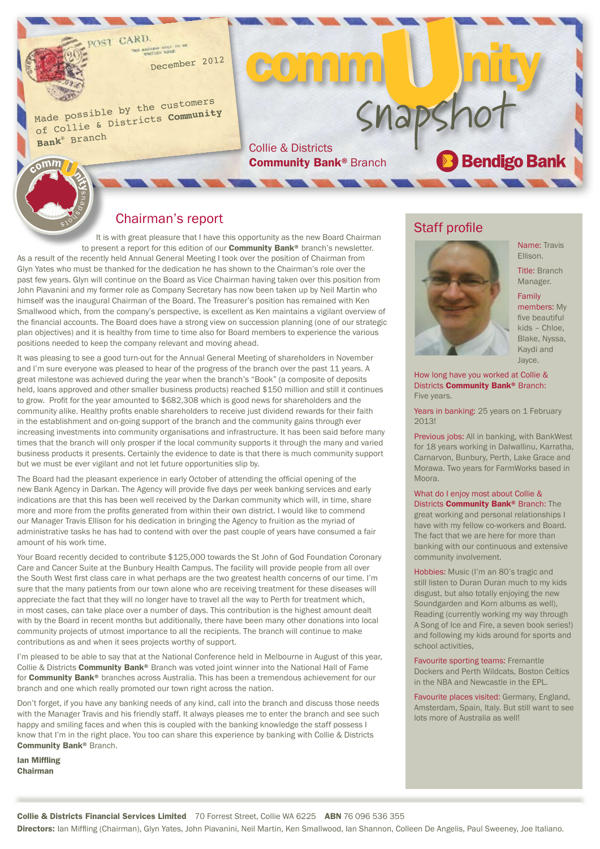December <sup>2012</sup>

Made possible by the customers of Collie & Districts **Community Bank**® Branc<sup>h</sup>

 $\epsilon$ omm

Snapshot

**Community Bank® Branch** 

eomr

#### Chairman's report

It is with great pleasure that I have this opportunity as the new Board Chairman to present a report for this edition of our **Community Bank®** branch's newsletter. As a result of the recently held Annual General Meeting I took over the position of Chairman from Glyn Yates who must be thanked for the dedication he has shown to the Chairman's role over the past few years. Glyn will continue on the Board as Vice Chairman having taken over this position from John Piavanini and my former role as Company Secretary has now been taken up by Neil Martin who himself was the inaugural Chairman of the Board. The Treasurer's position has remained with Ken Smallwood which, from the company's perspective, is excellent as Ken maintains a vigilant overview of the financial accounts. The Board does have a strong view on succession planning (one of our strategic plan objectives) and it is healthy from time to time also for Board members to experience the various positions needed to keep the company relevant and moving ahead.

It was pleasing to see a good turn-out for the Annual General Meeting of shareholders in November and I'm sure everyone was pleased to hear of the progress of the branch over the past 11 years. A great milestone was achieved during the year when the branch's "Book" (a composite of deposits held, loans approved and other smaller business products) reached \$150 million and still it continues to grow. Profit for the year amounted to \$682,308 which is good news for shareholders and the community alike. Healthy profits enable shareholders to receive just dividend rewards for their faith in the establishment and on-going support of the branch and the community gains through ever increasing investments into community organisations and infrastructure. It has been said before many times that the branch will only prosper if the local community supports it through the many and varied business products it presents. Certainly the evidence to date is that there is much community support but we must be ever vigilant and not let future opportunities slip by.

The Board had the pleasant experience in early October of attending the official opening of the new Bank Agency in Darkan. The Agency will provide five days per week banking services and early indications are that this has been well received by the Darkan community which will, in time, share more and more from the profits generated from within their own district. I would like to commend our Manager Travis Ellison for his dedication in bringing the Agency to fruition as the myriad of administrative tasks he has had to contend with over the past couple of years have consumed a fair amount of his work time.

Your Board recently decided to contribute \$125,000 towards the St John of God Foundation Coronary Care and Cancer Suite at the Bunbury Health Campus. The facility will provide people from all over the South West first class care in what perhaps are the two greatest health concerns of our time. I'm sure that the many patients from our town alone who are receiving treatment for these diseases will appreciate the fact that they will no longer have to travel all the way to Perth for treatment which, in most cases, can take place over a number of days. This contribution is the highest amount dealt with by the Board in recent months but additionally, there have been many other donations into local community projects of utmost importance to all the recipients. The branch will continue to make contributions as and when it sees projects worthy of support.

I'm pleased to be able to say that at the National Conference held in Melbourne in August of this year, Collie & Districts Community Bank® Branch was voted joint winner into the National Hall of Fame for Community Bank® branches across Australia. This has been a tremendous achievement for our branch and one which really promoted our town right across the nation.

Don't forget, if you have any banking needs of any kind, call into the branch and discuss those needs with the Manager Travis and his friendly staff. It always pleases me to enter the branch and see such happy and smiling faces and when this is coupled with the banking knowledge the staff possess I know that I'm in the right place. You too can share this experience by banking with Collie & Districts Community Bank® Branch.

Ian Miffling Chairman

#### Staff profile



Name: Travis Ellison.

Title: Branch Manager.

#### Family

members: My five beautiful kids – Chloe, Blake, Nyssa, Kaydi and Jayce.

How long have you worked at Collie & Districts **Community Bank® Branch:** Five years.

Years in banking: 25 years on 1 February 2013!

Previous jobs: All in banking, with BankWest for 18 years working in Dalwallinu, Karratha, Carnarvon, Bunbury, Perth, Lake Grace and Morawa. Two years for FarmWorks based in Moora.

What do I enjoy most about Collie & Districts **Community Bank®** Branch: The great working and personal relationships I have with my fellow co-workers and Board. The fact that we are here for more than banking with our continuous and extensive community involvement.

Hobbies: Music (I'm an 80's tragic and still listen to Duran Duran much to my kids disgust, but also totally enjoying the new Soundgarden and Korn albums as well), Reading (currently working my way through A Song of Ice and Fire, a seven book series!) and following my kids around for sports and school activities,

Favourite sporting teams: Fremantle Dockers and Perth Wildcats, Boston Celtics in the NBA and Newcastle in the EPL.

Favourite places visited: Germany, England, Amsterdam, Spain, Italy. But still want to see lots more of Australia as well!

Collie & Districts Financial Services Limited 70 Forrest Street, Collie WA 6225 ABN 76 096 536 355 Directors: Ian Miffling (Chairman), Glyn Yates, John Piavanini, Neil Martin, Ken Smallwood, Ian Shannon, Colleen De Angelis, Paul Sweeney, Joe Italiano.